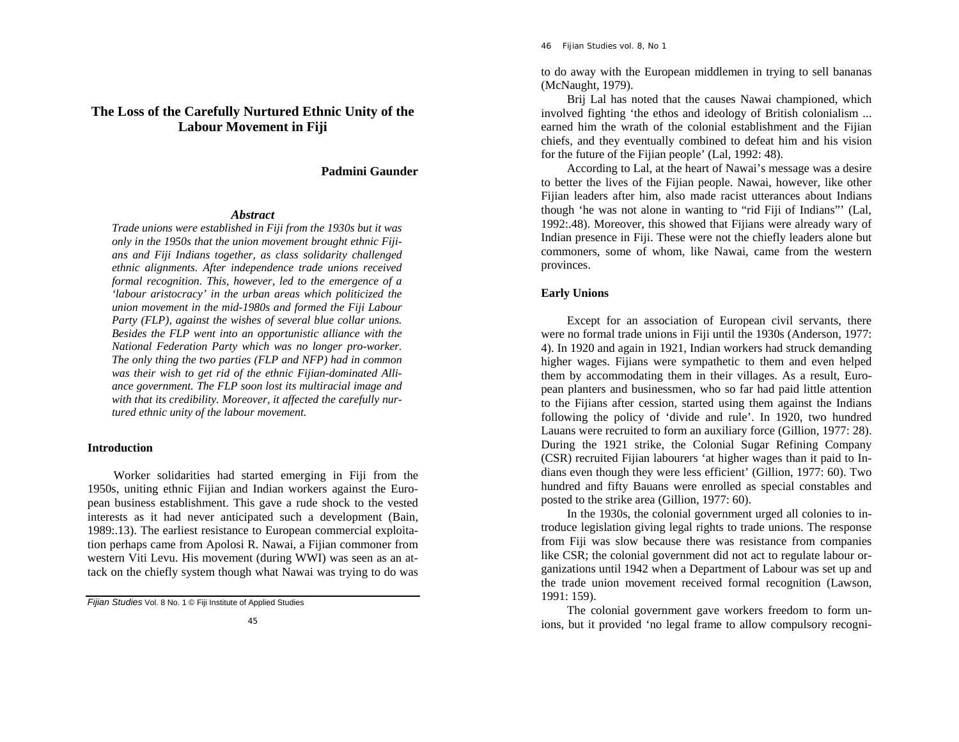# **The Loss of the Carefully Nurtured Ethnic Unity of the Labour Movement in Fiji**

**Padmini Gaunder** 

## *Abstract*

*Trade unions were established in Fiji from the 1930s but it was only in the 1950s that the union movement brought ethnic Fijians and Fiji Indians together, as class solidarity challenged ethnic alignments. After independence trade unions received formal recognition. This, however, led to the emergence of a 'labour aristocracy' in the urban areas which politicized the union movement in the mid-1980s and formed the Fiji Labour Party (FLP), against the wishes of several blue collar unions. Besides the FLP went into an opportunistic alliance with the National Federation Party which was no longer pro-worker. The only thing the two parties (FLP and NFP) had in common was their wish to get rid of the ethnic Fijian-dominated Alliance government. The FLP soon lost its multiracial image and with that its credibility. Moreover, it affected the carefully nurtured ethnic unity of the labour movement.*

### **Introduction**

Worker solidarities had started emerging in Fiji from the 1950s, uniting ethnic Fijian and Indian workers against the European business establishment. This gave a rude shock to the vested interests as it had never anticipated such a development (Bain, 1989:.13). The earliest resistance to European commercial exploitation perhaps came from Apolosi R. Nawai, a Fijian commoner from western Viti Levu. His movement (during WWI) was seen as an attack on the chiefly system though what Nawai was trying to do was 46 *Fijian Studies* vol. 8, No 1

to do away with the European middlemen in trying to sell bananas (McNaught, 1979).

Brij Lal has noted that the causes Nawai championed, which involved fighting 'the ethos and ideology of British colonialism ... earned him the wrath of the colonial establishment and the Fijian chiefs, and they eventually combined to defeat him and his vision for the future of the Fijian people' (Lal, 1992: 48).

According to Lal, at the heart of Nawai's message was a desire to better the lives of the Fijian people. Nawai, however, like other Fijian leaders after him, also made racist utterances about Indians though 'he was not alone in wanting to "rid Fiji of Indians"' (Lal, 1992:.48). Moreover, this showed that Fijians were already wary of Indian presence in Fiji. These were not the chiefly leaders alone but commoners, some of whom, like Nawai, came from the western provinces.

## **Early Unions**

Except for an association of European civil servants, there were no formal trade unions in Fiji until the 1930s (Anderson, 1977: 4). In 1920 and again in 1921, Indian workers had struck demanding higher wages. Fijians were sympathetic to them and even helped them by accommodating them in their villages. As a result, European planters and businessmen, who so far had paid little attention to the Fijians after cession, started using them against the Indians following the policy of 'divide and rule'. In 1920, two hundred Lauans were recruited to form an auxiliary force (Gillion, 1977: 28). During the 1921 strike, the Colonial Sugar Refining Company (CSR) recruited Fijian labourers 'at higher wages than it paid to Indians even though they were less efficient' (Gillion, 1977: 60). Two hundred and fifty Bauans were enrolled as special constables and posted to the strike area (Gillion, 1977: 60).

In the 1930s, the colonial government urged all colonies to introduce legislation giving legal rights to trade unions. The response from Fiji was slow because there was resistance from companies like CSR; the colonial government did not act to regulate labour organizations until 1942 when a Department of Labour was set up and the trade union movement received formal recognition (Lawson, 1991: 159).

The colonial government gave workers freedom to form unions, but it provided 'no legal frame to allow compulsory recogni-

*Fijian Studies* Vol. 8 No. 1 © Fiji Institute of Applied Studies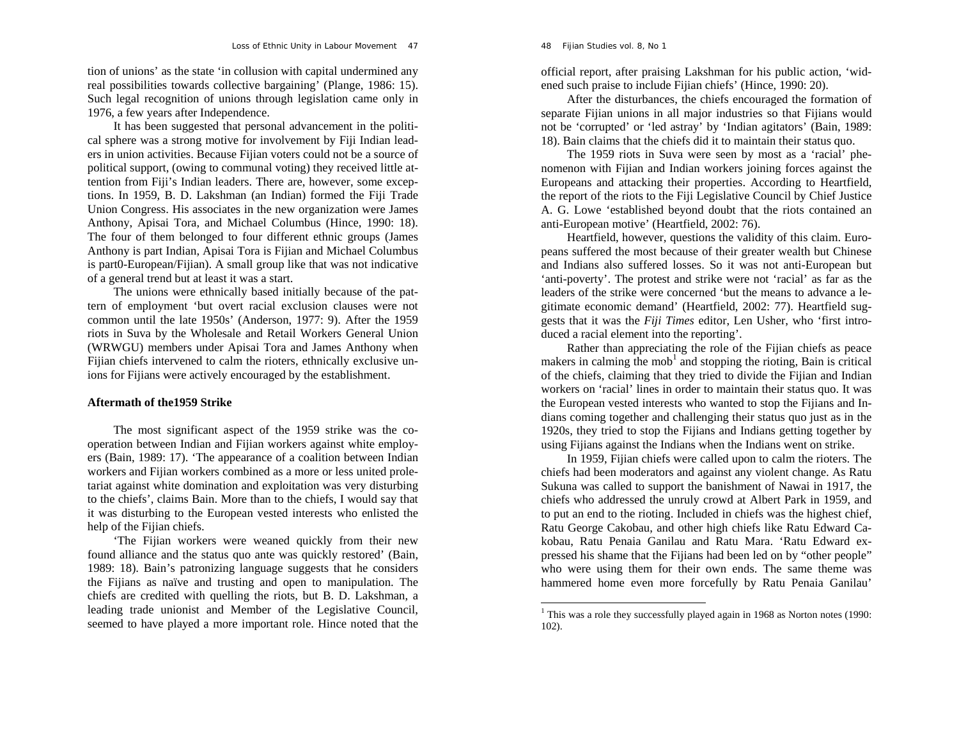tion of unions' as the state 'in collusion with capital undermined any real possibilities towards collective bargaining' (Plange, 1986: 15). Such legal recognition of unions through legislation came only in 1976, a few years after Independence.

*Loss of Ethnic Unity in Labour Movement* 47

It has been suggested that personal advancement in the political sphere was a strong motive for involvement by Fiji Indian leaders in union activities. Because Fijian voters could not be a source of political support, (owing to communal voting) they received little attention from Fiji's Indian leaders. There are, however, some exceptions. In 1959, B. D. Lakshman (an Indian) formed the Fiji Trade Union Congress. His associates in the new organization were James Anthony, Apisai Tora, and Michael Columbus (Hince, 1990: 18). The four of them belonged to four different ethnic groups (James Anthony is part Indian, Apisai Tora is Fijian and Michael Columbus is part0-European/Fijian). A small group like that was not indicative of a general trend but at least it was a start.

The unions were ethnically based initially because of the pattern of employment 'but overt racial exclusion clauses were not common until the late 1950s' (Anderson, 1977: 9). After the 1959 riots in Suva by the Wholesale and Retail Workers General Union (WRWGU) members under Apisai Tora and James Anthony when Fijian chiefs intervened to calm the rioters, ethnically exclusive unions for Fijians were actively encouraged by the establishment.

### **Aftermath of the1959 Strike**

The most significant aspect of the 1959 strike was the cooperation between Indian and Fijian workers against white employers (Bain, 1989: 17). 'The appearance of a coalition between Indian workers and Fijian workers combined as a more or less united proletariat against white domination and exploitation was very disturbing to the chiefs', claims Bain. More than to the chiefs, I would say that it was disturbing to the European vested interests who enlisted the help of the Fijian chiefs.

'The Fijian workers were weaned quickly from their new found alliance and the status quo ante was quickly restored' (Bain, 1989: 18). Bain's patronizing language suggests that he considers the Fijians as naïve and trusting and open to manipulation. The chiefs are credited with quelling the riots, but B. D. Lakshman, a leading trade unionist and Member of the Legislative Council, seemed to have played a more important role. Hince noted that the official report, after praising Lakshman for his public action, 'widened such praise to include Fijian chiefs' (Hince, 1990: 20).

After the disturbances, the chiefs encouraged the formation of separate Fijian unions in all major industries so that Fijians would not be 'corrupted' or 'led astray' by 'Indian agitators' (Bain, 1989: 18). Bain claims that the chiefs did it to maintain their status quo.

The 1959 riots in Suva were seen by most as a 'racial' phenomenon with Fijian and Indian workers joining forces against the Europeans and attacking their properties. According to Heartfield, the report of the riots to the Fiji Legislative Council by Chief Justice A. G. Lowe 'established beyond doubt that the riots contained an anti-European motive' (Heartfield, 2002: 76).

Heartfield, however, questions the validity of this claim. Europeans suffered the most because of their greater wealth but Chinese and Indians also suffered losses. So it was not anti-European but 'anti-poverty'. The protest and strike were not 'racial' as far as the leaders of the strike were concerned 'but the means to advance a legitimate economic demand' (Heartfield, 2002: 77). Heartfield suggests that it was the *Fiji Times* editor, Len Usher, who 'first introduced a racial element into the reporting'.

Rather than appreciating the role of the Fijian chiefs as peace makers in calming the mob<sup>1</sup> and stopping the rioting, Bain is critical of the chiefs, claiming that they tried to divide the Fijian and Indian workers on 'racial' lines in order to maintain their status quo. It was the European vested interests who wanted to stop the Fijians and Indians coming together and challenging their status quo just as in the 1920s, they tried to stop the Fijians and Indians getting together by using Fijians against the Indians when the Indians went on strike.

In 1959, Fijian chiefs were called upon to calm the rioters. The chiefs had been moderators and against any violent change. As Ratu Sukuna was called to support the banishment of Nawai in 1917, the chiefs who addressed the unruly crowd at Albert Park in 1959, and to put an end to the rioting. Included in chiefs was the highest chief, Ratu George Cakobau, and other high chiefs like Ratu Edward Cakobau, Ratu Penaia Ganilau and Ratu Mara. 'Ratu Edward expressed his shame that the Fijians had been led on by "other people" who were using them for their own ends. The same theme was hammered home even more forcefully by Ratu Penaia Ganilau'

48 *Fijian Studies* vol. 8, No 1

<sup>&</sup>lt;sup>1</sup> This was a role they successfully played again in 1968 as Norton notes (1990: 102).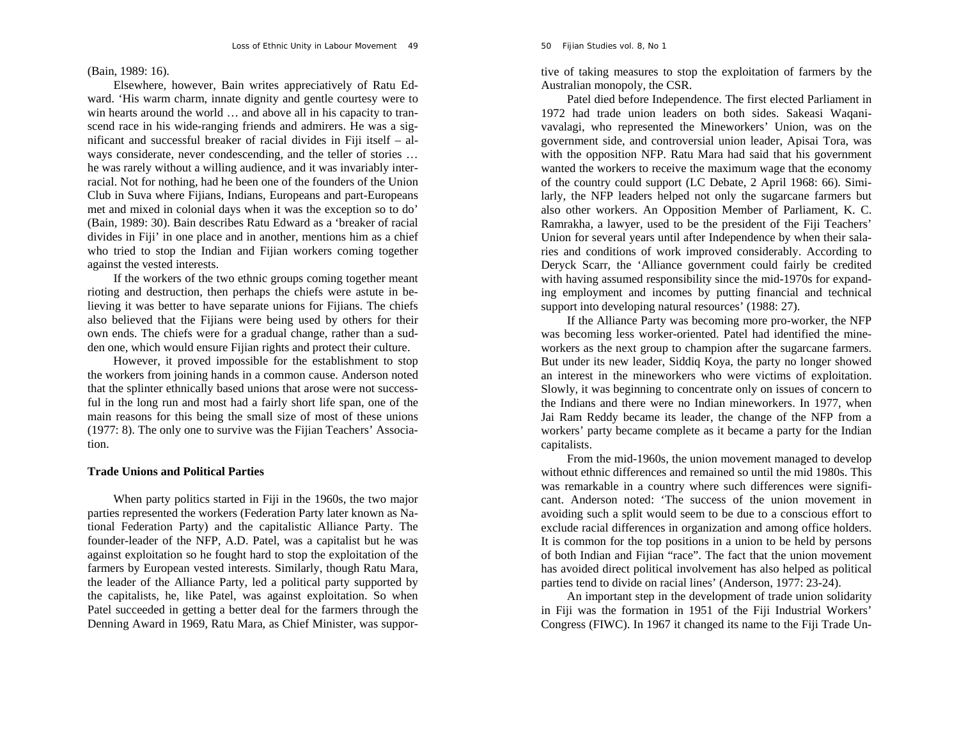## (Bain, 1989: 16).

Elsewhere, however, Bain writes appreciatively of Ratu Edward. 'His warm charm, innate dignity and gentle courtesy were to win hearts around the world ... and above all in his capacity to transcend race in his wide-ranging friends and admirers. He was a significant and successful breaker of racial divides in Fiji itself – always considerate, never condescending, and the teller of stories … he was rarely without a willing audience, and it was invariably interracial. Not for nothing, had he been one of the founders of the Union Club in Suva where Fijians, Indians, Europeans and part-Europeans met and mixed in colonial days when it was the exception so to do' (Bain, 1989: 30). Bain describes Ratu Edward as a 'breaker of racial divides in Fiji' in one place and in another, mentions him as a chief who tried to stop the Indian and Fijian workers coming together against the vested interests.

If the workers of the two ethnic groups coming together meant rioting and destruction, then perhaps the chiefs were astute in believing it was better to have separate unions for Fijians. The chiefs also believed that the Fijians were being used by others for their own ends. The chiefs were for a gradual change, rather than a sudden one, which would ensure Fijian rights and protect their culture.

However, it proved impossible for the establishment to stop the workers from joining hands in a common cause. Anderson noted that the splinter ethnically based unions that arose were not successful in the long run and most had a fairly short life span, one of the main reasons for this being the small size of most of these unions (1977: 8). The only one to survive was the Fijian Teachers' Association.

### **Trade Unions and Political Parties**

When party politics started in Fiji in the 1960s, the two major parties represented the workers (Federation Party later known as National Federation Party) and the capitalistic Alliance Party. The founder-leader of the NFP, A.D. Patel, was a capitalist but he was against exploitation so he fought hard to stop the exploitation of the farmers by European vested interests. Similarly, though Ratu Mara, the leader of the Alliance Party, led a political party supported by the capitalists, he, like Patel, was against exploitation. So when Patel succeeded in getting a better deal for the farmers through the Denning Award in 1969, Ratu Mara, as Chief Minister, was supportive of taking measures to stop the exploitation of farmers by the Australian monopoly, the CSR. Patel died before Independence. The first elected Parliament in 1972 had trade union leaders on both sides. Sakeasi Waqani-

vavalagi, who represented the Mineworkers' Union, was on the government side, and controversial union leader, Apisai Tora, was with the opposition NFP. Ratu Mara had said that his government wanted the workers to receive t larly, the NFP leaders helped not only the sugarcane farmers but<br>also other workers. An Opposition Member of Parliament, K. C.<br>Ramrakha, a lawyer, used to be the president of the Fiji Teachers'<br>Union for several years unti ries and conditions of work improved considerably. According to Deryck Scarr, the 'Alliance government could fairly be credited with having assumed responsibility since the mid-1970s for expand ing employment and incomes by putting financial and technical<br>support into developing natural resources' (1988: 27).<br>If the Alliance Party was becoming more pro-worker, the NFP<br>was becoming less worker-oriented. Patel had

workers as the next group to champion after the sugarcane farmers.<br>But under its new leader, Siddiq Koya, the party no longer showed<br>an interest in the mineworkers who were victims of exploitation.<br>Slowly, it was beginning

cant. Anderson noted: 'The success of the union movement in<br>avoiding such a split would seem to be due to a conscious effort to<br>exclude racial differences in organization and among office holders.<br>It is common for the top

An important step in the development of trade union solidarity in Fiji was the formation in 1951 of the Fiji Industrial Workers' Congress (FIWC). In 1967 it changed its name to the Fiji Trade Un-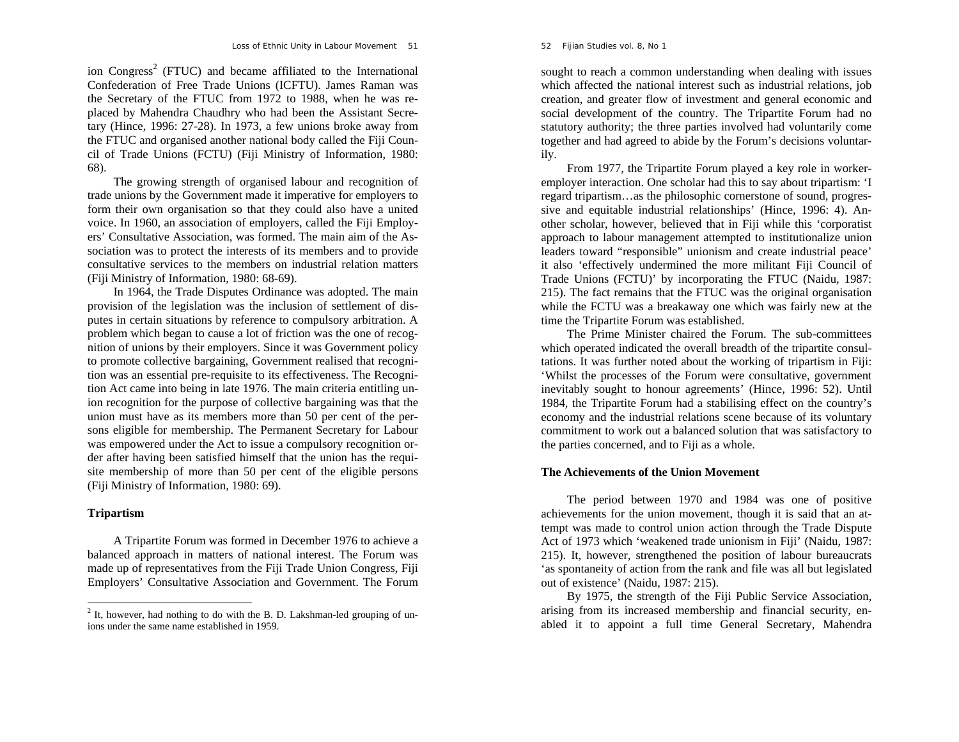ion Congress<sup>2</sup> (FTUC) and became affiliated to the International Confederation of Free Trade Unions (ICFTU). James Raman was the Secretary of the FTUC from 1972 to 1988, when he was replaced by Mahendra Chaudhry who had been the Assistant Secretary (Hince, 1996: 27-28). In 1973, a few unions broke away from the FTUC and organised another national body called the Fiji Council of Trade Unions (FCTU) (Fiji Ministry of Information, 1980: 68).

The growing strength of organised labour and recognition of trade unions by the Government made it imperative for employers to form their own organisation so that they could also have a united voice. In 1960, an association of employers, called the Fiji Employers' Consultative Association, was formed. The main aim of the Association was to protect the interests of its members and to provide consultative services to the members on industrial relation matters (Fiji Ministry of Information, 1980: 68-69).

In 1964, the Trade Disputes Ordinance was adopted. The main provision of the legislation was the inclusion of settlement of disputes in certain situations by reference to compulsory arbitration. A problem which began to cause a lot of friction was the one of recognition of unions by their employers. Since it was Government policy to promote collective bargaining, Government realised that recognition was an essential pre-requisite to its effectiveness. The Recognition Act came into being in late 1976. The main criteria entitling union recognition for the purpose of collective bargaining was that the union must have as its members more than 50 per cent of the persons eligible for membership. The Permanent Secretary for Labour was empowered under the Act to issue a compulsory recognition order after having been satisfied himself that the union has the requisite membership of more than 50 per cent of the eligible persons (Fiji Ministry of Information, 1980: 69).

## **Tripartism**

A Tripartite Forum was formed in December 1976 to achieve a balanced approach in matters of national interest. The Forum was made up of representatives from the Fiji Trade Union Congress, Fiji Employers' Consultative Association and Government. The Forum

sought to reach a common understanding when dealing with issues which affected the national interest such as industrial relations, job creation, and greater flow of investment and general economic and social development of the country. The Tripartite Forum had no statutory authority; the three parties involved had voluntarily come together and had agreed to abide by the Forum's decisions voluntarily.

From 1977, the Tripartite Forum played a key role in workeremployer interaction. One scholar had this to say about tripartism: 'I regard tripartism…as the philosophic cornerstone of sound, progressive and equitable industrial relationships' (Hince, 1996: 4). Another scholar, however, believed that in Fiji while this 'corporatist approach to labour management attempted to institutionalize union leaders toward "responsible" unionism and create industrial peace' it also 'effectively undermined the more militant Fiji Council of Trade Unions (FCTU)' by incorporating the FTUC (Naidu, 1987: 215). The fact remains that the FTUC was the original organisation while the FCTU was a breakaway one which was fairly new at the time the Tripartite Forum was established.

The Prime Minister chaired the Forum. The sub-committees which operated indicated the overall breadth of the tripartite consultations. It was further noted about the working of tripartism in Fiji: 'Whilst the processes of the Forum were consultative, government inevitably sought to honour agreements' (Hince, 1996: 52). Until 1984, the Tripartite Forum had a stabilising effect on the country's economy and the industrial relations scene because of its voluntary commitment to work out a balanced solution that was satisfactory to the parties concerned, and to Fiji as a whole.

## **The Achievements of the Union Movement**

The period between 1970 and 1984 was one of positive achievements for the union movement, though it is said that an attempt was made to control union action through the Trade Dispute Act of 1973 which 'weakened trade unionism in Fiji' (Naidu, 1987: 215). It, however, strengthened the position of labour bureaucrats 'as spontaneity of action from the rank and file was all but legislated out of existence' (Naidu, 1987: 215).

By 1975, the strength of the Fiji Public Service Association, arising from its increased membership and financial security, enabled it to appoint a full time General Secretary, Mahendra

 $2$  It, however, had nothing to do with the B. D. Lakshman-led grouping of unions under the same name established in 1959.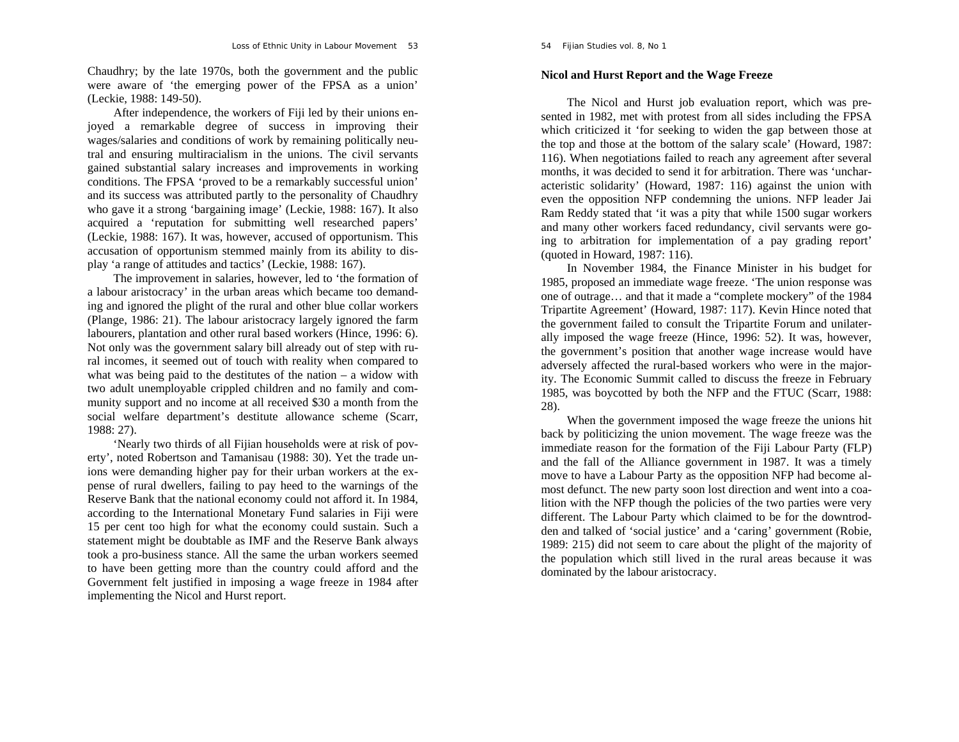Chaudhry; by the late 1970s, both the government and the public were aware of 'the emerging power of the FPSA as a union' (Leckie, 1988: 149-50).

After independence, the workers of Fiji led by their unions enjoyed a remarkable degree of success in improving their wages/salaries and conditions of work by remaining politically neutral and ensuring multiracialism in the unions. The civil servants gained substantial salary increases and improvements in working conditions. The FPSA 'proved to be a remarkably successful union' and its success was attributed partly to the personality of Chaudhry who gave it a strong 'bargaining image' (Leckie, 1988: 167). It also acquired a 'reputation for submitting well researched papers' (Leckie, 1988: 167). It was, however, accused of opportunism. This accusation of opportunism stemmed mainly from its ability to display 'a range of attitudes and tactics' (Leckie, 1988: 167).

The improvement in salaries, however, led to 'the formation of a labour aristocracy' in the urban areas which became too demanding and ignored the plight of the rural and other blue collar workers (Plange, 1986: 21). The labour aristocracy largely ignored the farm labourers, plantation and other rural based workers (Hince, 1996: 6). Not only was the government salary bill already out of step with rural incomes, it seemed out of touch with reality when compared to what was being paid to the destitutes of the nation – a widow with two adult unemployable crippled children and no family and community support and no income at all received \$30 a month from the social welfare department's destitute allowance scheme (Scarr, 1988: 27).

'Nearly two thirds of all Fijian households were at risk of poverty', noted Robertson and Tamanisau (1988: 30). Yet the trade unions were demanding higher pay for their urban workers at the expense of rural dwellers, failing to pay heed to the warnings of the Reserve Bank that the national economy could not afford it. In 1984, according to the International Monetary Fund salaries in Fiji were 15 per cent too high for what the economy could sustain. Such a statement might be doubtable as IMF and the Reserve Bank always took a pro-business stance. All the same the urban workers seemed to have been getting more than the country could afford and the Government felt justified in imposing a wage freeze in 1984 after implementing the Nicol and Hurst report.

## **Nicol and Hurst Report and the Wage Freeze**

The Nicol and Hurst job evaluation report, which was presented in 1982, met with protest from all sides including the FPSA which criticized it 'for seeking to widen the gap between those at the top and those at the bottom of the salary scale' (Howard, 1987: 116). When negotiations failed to reach any agreement after several months, it was decided to send it for arbitration. There was 'uncharacteristic solidarity' (Howard, 1987: 116) against the union with even the opposition NFP condemning the unions. NFP leader Jai Ram Reddy stated that 'it was a pity that while 1500 sugar workers and many other workers faced redundancy, civil servants were going to arbitration for implementation of a pay grading report' (quoted in Howard, 1987: 116).

In November 1984, the Finance Minister in his budget for 1985, proposed an immediate wage freeze. 'The union response was one of outrage… and that it made a "complete mockery" of the 1984 Tripartite Agreement' (Howard, 1987: 117). Kevin Hince noted that the government failed to consult the Tripartite Forum and unilaterally imposed the wage freeze (Hince, 1996: 52). It was, however, the government's position that another wage increase would have adversely affected the rural-based workers who were in the majority. The Economic Summit called to discuss the freeze in February 1985, was boycotted by both the NFP and the FTUC (Scarr, 1988: 28).

When the government imposed the wage freeze the unions hit back by politicizing the union movement. The wage freeze was the immediate reason for the formation of the Fiji Labour Party (FLP) and the fall of the Alliance government in 1987. It was a timely move to have a Labour Party as the opposition NFP had become almost defunct. The new party soon lost direction and went into a coalition with the NFP though the policies of the two parties were very different. The Labour Party which claimed to be for the downtrodden and talked of 'social justice' and a 'caring' government (Robie, 1989: 215) did not seem to care about the plight of the majority of the population which still lived in the rural areas because it was dominated by the labour aristocracy.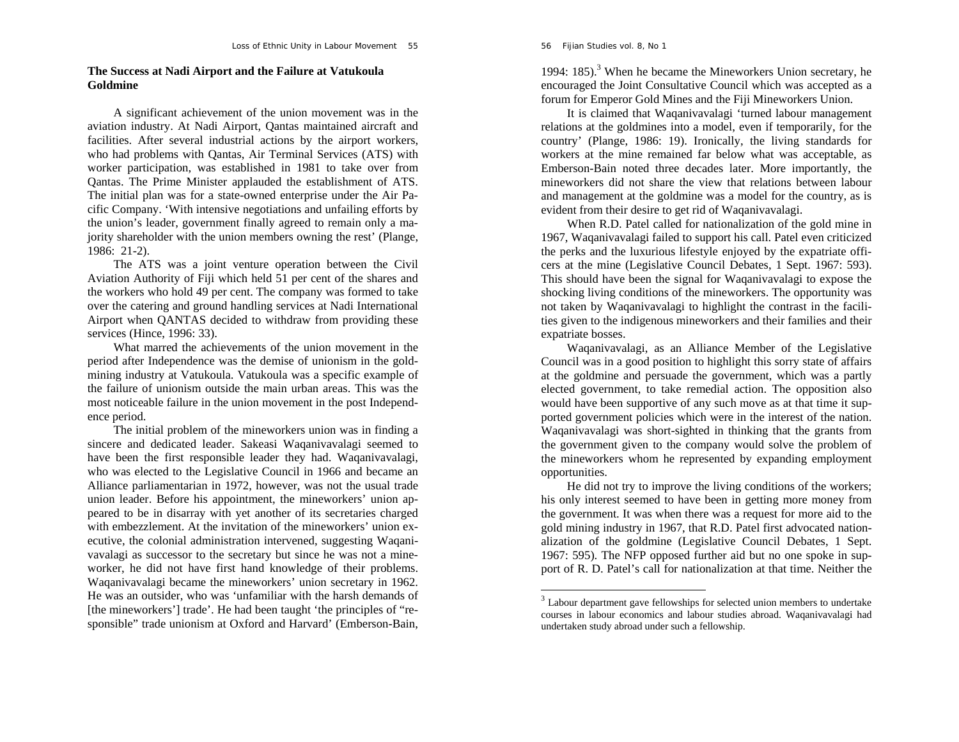## **The Success at Nadi Airport and the Failure at Vatukoula Goldmine**

A significant achievement of the union movement was in the aviation industry. At Nadi Airport, Qantas maintained aircraft and facilities. After several industrial actions by the airport workers, who had problems with Qantas, Air Terminal Services (ATS) with worker participation, was established in 1981 to take over from Qantas. The Prime Minister applauded the establishment of ATS. The initial plan was for a state-owned enterprise under the Air Pacific Company. 'With intensive negotiations and unfailing efforts by the union's leader, government finally agreed to remain only a majority shareholder with the union members owning the rest' (Plange, 1986: 21-2).

The ATS was a joint venture operation between the Civil Aviation Authority of Fiji which held 51 per cent of the shares and the workers who hold 49 per cent. The company was formed to take over the catering and ground handling services at Nadi International Airport when QANTAS decided to withdraw from providing these services (Hince, 1996: 33).

What marred the achievements of the union movement in the period after Independence was the demise of unionism in the goldmining industry at Vatukoula. Vatukoula was a specific example of the failure of unionism outside the main urban areas. This was the most noticeable failure in the union movement in the post Independence period.

The initial problem of the mineworkers union was in finding a sincere and dedicated leader. Sakeasi Waqanivavalagi seemed to have been the first responsible leader they had. Waqanivavalagi, who was elected to the Legislative Council in 1966 and became an Alliance parliamentarian in 1972, however, was not the usual trade union leader. Before his appointment, the mineworkers' union appeared to be in disarray with yet another of its secretaries charged with embezzlement. At the invitation of the mineworkers' union executive, the colonial administration intervened, suggesting Waqanivavalagi as successor to the secretary but since he was not a mineworker, he did not have first hand knowledge of their problems. Waqanivavalagi became the mineworkers' union secretary in 1962. He was an outsider, who was 'unfamiliar with the harsh demands of [the mineworkers'] trade'. He had been taught 'the principles of "responsible" trade unionism at Oxford and Harvard' (Emberson-Bain,

1994:  $185$ ).<sup>3</sup> When he became the Mineworkers Union secretary, he encouraged the Joint Consultative Council which was accepted as a forum for Emperor Gold Mines and the Fiji Mineworkers Union.

It is claimed that Waqanivavalagi 'turned labour management relations at the goldmines into a model, even if temporarily, for the country' (Plange, 1986: 19). Ironically, the living standards for workers at the mine remained far below what was acceptable, as Emberson-Bain noted three decades later. More importantly, the mineworkers did not share the view that relations between labour and management at the goldmine was a model for the country, as is evident from their desire to get rid of Waqanivavalagi.

When R.D. Patel called for nationalization of the gold mine in 1967, Waqanivavalagi failed to support his call. Patel even criticized the perks and the luxurious lifestyle enjoyed by the expatriate officers at the mine (Legislative Council Debates, 1 Sept. 1967: 593). This should have been the signal for Waqanivavalagi to expose the shocking living conditions of the mineworkers. The opportunity was not taken by Waqanivavalagi to highlight the contrast in the facilities given to the indigenous mineworkers and their families and their expatriate bosses.

Waqanivavalagi, as an Alliance Member of the Legislative Council was in a good position to highlight this sorry state of affairs at the goldmine and persuade the government, which was a partly elected government, to take remedial action. The opposition also would have been supportive of any such move as at that time it supported government policies which were in the interest of the nation. Waqanivavalagi was short-sighted in thinking that the grants from the government given to the company would solve the problem of the mineworkers whom he represented by expanding employment opportunities.

He did not try to improve the living conditions of the workers; his only interest seemed to have been in getting more money from the government. It was when there was a request for more aid to the gold mining industry in 1967, that R.D. Patel first advocated nationalization of the goldmine (Legislative Council Debates, 1 Sept. 1967: 595). The NFP opposed further aid but no one spoke in support of R. D. Patel's call for nationalization at that time. Neither the

 $3$  Labour department gave fellowships for selected union members to undertake courses in labour economics and labour studies abroad. Waqanivavalagi had undertaken study abroad under such a fellowship.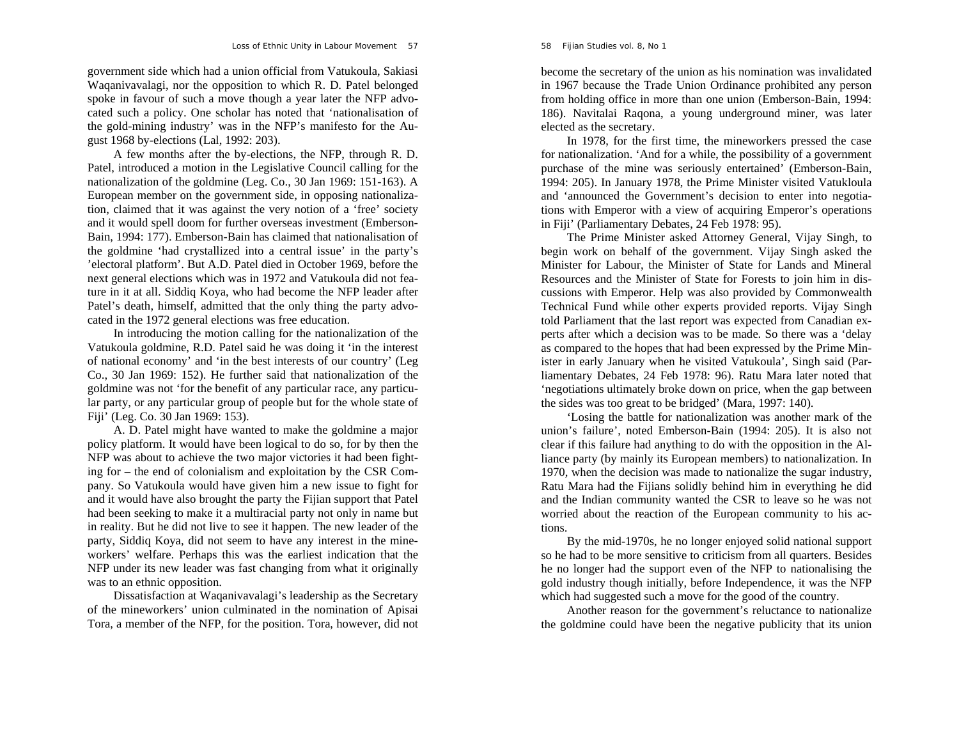government side which had a union official from Vatukoula, Sakiasi Waqanivavalagi, nor the opposition to which R. D. Patel belonged spoke in favour of such a move though a year later the NFP advocated such a policy. One scholar has noted that 'nationalisation of the gold-mining industry' was in the NFP's manifesto for the August 1968 by-elections (Lal, 1992: 203).

A few months after the by-elections, the NFP, through R. D. Patel, introduced a motion in the Legislative Council calling for the nationalization of the goldmine (Leg. Co., 30 Jan 1969: 151-163). A European member on the government side, in opposing nationalization, claimed that it was against the very notion of a 'free' society and it would spell doom for further overseas investment (Emberson-Bain, 1994: 177). Emberson-Bain has claimed that nationalisation of the goldmine 'had crystallized into a central issue' in the party's 'electoral platform'. But A.D. Patel died in October 1969, before the next general elections which was in 1972 and Vatukoula did not feature in it at all. Siddiq Koya, who had become the NFP leader after Patel's death, himself, admitted that the only thing the party advocated in the 1972 general elections was free education.

In introducing the motion calling for the nationalization of the Vatukoula goldmine, R.D. Patel said he was doing it 'in the interest of national economy' and 'in the best interests of our country' (Leg Co., 30 Jan 1969: 152). He further said that nationalization of the goldmine was not 'for the benefit of any particular race, any particular party, or any particular group of people but for the whole state of Fiji' (Leg. Co. 30 Jan 1969: 153).

A. D. Patel might have wanted to make the goldmine a major policy platform. It would have been logical to do so, for by then the NFP was about to achieve the two major victories it had been fighting for – the end of colonialism and exploitation by the CSR Company. So Vatukoula would have given him a new issue to fight for and it would have also brought the party the Fijian support that Patel had been seeking to make it a multiracial party not only in name but in reality. But he did not live to see it happen. The new leader of the party, Siddiq Koya, did not seem to have any interest in the mineworkers' welfare. Perhaps this was the earliest indication that the NFP under its new leader was fast changing from what it originally was to an ethnic opposition.

Dissatisfaction at Waqanivavalagi's leadership as the Secretary of the mineworkers' union culminated in the nomination of Apisai Tora, a member of the NFP, for the position. Tora, however, did not

become the secretary of the union as his nomination was invalidated in 1967 because the Trade Union Ordinance prohibited any person from holding office in more than one union (Emberson-Bain, 1994: 186). Navitalai Raqona, a young underground miner, was later elected as the secretary.

In 1978, for the first time, the mineworkers pressed the case for nationalization. 'And for a while, the possibility of a government purchase of the mine was seriously entertained' (Emberson-Bain, 1994: 205). In January 1978, the Prime Minister visited Vatukloula and 'announced the Government's decision to enter into negotiations with Emperor with a view of acquiring Emperor's operations in Fiji' (Parliamentary Debates, 24 Feb 1978: 95).

The Prime Minister asked Attorney General, Vijay Singh, to begin work on behalf of the government. Vijay Singh asked the Minister for Labour, the Minister of State for Lands and Mineral Resources and the Minister of State for Forests to join him in discussions with Emperor. Help was also provided by Commonwealth Technical Fund while other experts provided reports. Vijay Singh told Parliament that the last report was expected from Canadian experts after which a decision was to be made. So there was a 'delay as compared to the hopes that had been expressed by the Prime Minister in early January when he visited Vatukoula', Singh said (Parliamentary Debates, 24 Feb 1978: 96). Ratu Mara later noted that 'negotiations ultimately broke down on price, when the gap between the sides was too great to be bridged' (Mara, 1997: 140).

'Losing the battle for nationalization was another mark of the union's failure', noted Emberson-Bain (1994: 205). It is also not clear if this failure had anything to do with the opposition in the Alliance party (by mainly its European members) to nationalization. In 1970, when the decision was made to nationalize the sugar industry, Ratu Mara had the Fijians solidly behind him in everything he did and the Indian community wanted the CSR to leave so he was not worried about the reaction of the European community to his actions.

By the mid-1970s, he no longer enjoyed solid national support so he had to be more sensitive to criticism from all quarters. Besides he no longer had the support even of the NFP to nationalising the gold industry though initially, before Independence, it was the NFP which had suggested such a move for the good of the country.

Another reason for the government's reluctance to nationalize the goldmine could have been the negative publicity that its union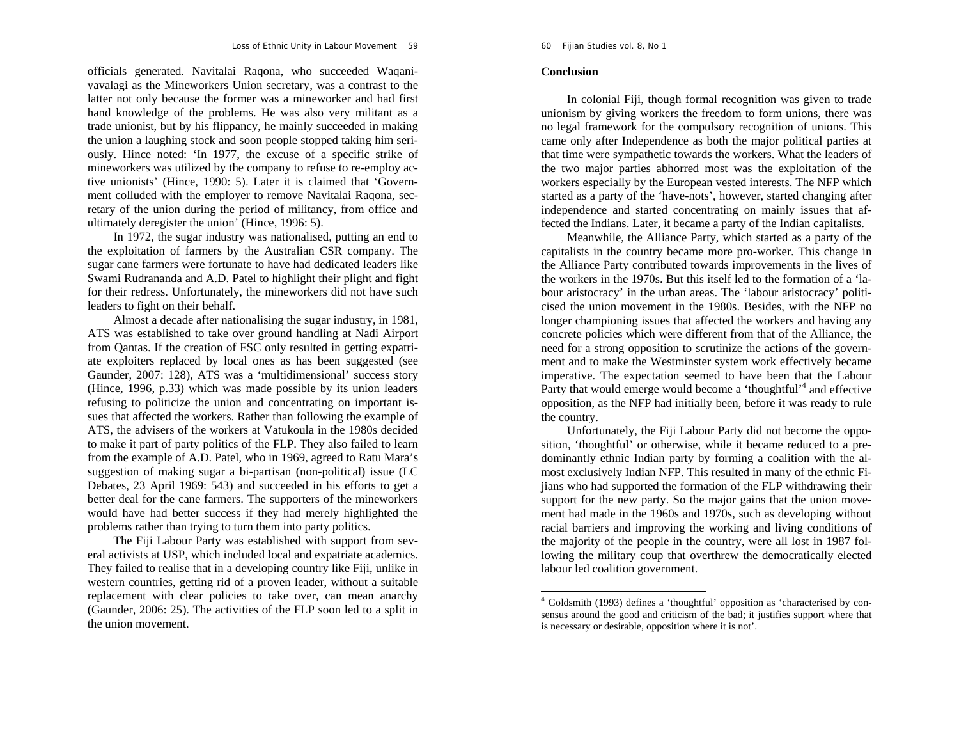officials generated. Navitalai Raqona, who succeeded Waqanivavalagi as the Mineworkers Union secretary, was a contrast to the latter not only because the former was a mineworker and had first hand knowledge of the problems. He was also very militant as a trade unionist, but by his flippancy, he mainly succeeded in making the union a laughing stock and soon people stopped taking him seriously. Hince noted: 'In 1977, the excuse of a specific strike of mineworkers was utilized by the company to refuse to re-employ active unionists' (Hince, 1990: 5). Later it is claimed that 'Government colluded with the employer to remove Navitalai Raqona, secretary of the union during the period of militancy, from office and ultimately deregister the union' (Hince, 1996: 5).

In 1972, the sugar industry was nationalised, putting an end to the exploitation of farmers by the Australian CSR company. The sugar cane farmers were fortunate to have had dedicated leaders like Swami Rudrananda and A.D. Patel to highlight their plight and fight for their redress. Unfortunately, the mineworkers did not have such leaders to fight on their behalf.

Almost a decade after nationalising the sugar industry, in 1981, ATS was established to take over ground handling at Nadi Airport from Qantas. If the creation of FSC only resulted in getting expatriate exploiters replaced by local ones as has been suggested (see Gaunder, 2007: 128), ATS was a 'multidimensional' success story (Hince, 1996, p.33) which was made possible by its union leaders refusing to politicize the union and concentrating on important issues that affected the workers. Rather than following the example of ATS, the advisers of the workers at Vatukoula in the 1980s decided to make it part of party politics of the FLP. They also failed to learn from the example of A.D. Patel, who in 1969, agreed to Ratu Mara's suggestion of making sugar a bi-partisan (non-political) issue (LC Debates, 23 April 1969: 543) and succeeded in his efforts to get a better deal for the cane farmers. The supporters of the mineworkers would have had better success if they had merely highlighted the problems rather than trying to turn them into party politics.

The Fiji Labour Party was established with support from several activists at USP, which included local and expatriate academics. They failed to realise that in a developing country like Fiji, unlike in western countries, getting rid of a proven leader, without a suitable replacement with clear policies to take over, can mean anarchy (Gaunder, 2006: 25). The activities of the FLP soon led to a split in the union movement.

#### **Conclusion**

In colonial Fiji, though formal recognition was given to trade unionism by giving workers the freedom to form unions, there was no legal framework for the compulsory recognition of unions. This came only after Independence as both the major political parties at that time were sympathetic towards the workers. What the leaders of the two major parties abhorred most was the exploitation of the workers especially by the European vested interests. The NFP which started as a party of the 'have-nots', however, started changing after independence and started concentrating on mainly issues that affected the Indians. Later, it became a party of the Indian capitalists.

Meanwhile, the Alliance Party, which started as a party of the capitalists in the country became more pro-worker. This change in the Alliance Party contributed towards improvements in the lives of the workers in the 1970s. But this itself led to the formation of a 'labour aristocracy' in the urban areas. The 'labour aristocracy' politicised the union movement in the 1980s. Besides, with the NFP no longer championing issues that affected the workers and having any concrete policies which were different from that of the Alliance, the need for a strong opposition to scrutinize the actions of the government and to make the Westminster system work effectively became imperative. The expectation seemed to have been that the Labour Party that would emerge would become a 'thoughtful'<sup>4</sup> and effective opposition, as the NFP had initially been, before it was ready to rule the country.

Unfortunately, the Fiji Labour Party did not become the opposition, 'thoughtful' or otherwise, while it became reduced to a predominantly ethnic Indian party by forming a coalition with the almost exclusively Indian NFP. This resulted in many of the ethnic Fijians who had supported the formation of the FLP withdrawing their support for the new party. So the major gains that the union movement had made in the 1960s and 1970s, such as developing without racial barriers and improving the working and living conditions of the majority of the people in the country, were all lost in 1987 following the military coup that overthrew the democratically elected labour led coalition government.

<sup>&</sup>lt;sup>4</sup> Goldsmith (1993) defines a 'thoughtful' opposition as 'characterised by consensus around the good and criticism of the bad; it justifies support where that is necessary or desirable, opposition where it is not'.